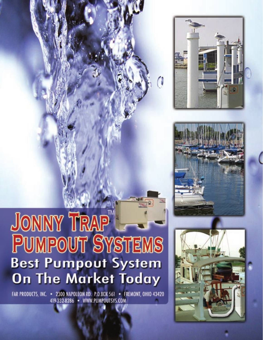

FAR PRODUCTS, INC. • 2300 NAPOLEON RD. P.O.BOX 561 • FREMONT, OHIO 43420 419-332-8286 · WWW.PUMPOUTSYS.COM



0



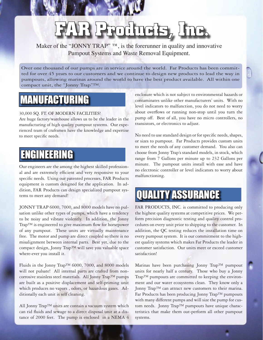## **FAR Products, Inc.**

Maker of the "JONNY TRAP"  $TM$ , is the forerunner in quality and innovative Pumpout Systems and Waste Removal Equipment.

Over one thousand of our pumps are in service around the world. Far Products has been committed for over 45 years to our customers and we continue to design new products to lead the way in pumpouts, allowing marinas around the world to have the best product available. All within one compact unit, the "Jonny Trap"™.

#### MANUFACTURING

#### 30,000 SQ. FT. OF MODERN FACILITIES!

Are huge factory/warehouse allows us to be the leader in the manufacturing of high quality pumpout systems. Our experienced team of craftsmen have the knowledge and expertise to meet specific needs.

#### ENGINEERING

Our engineers are the among the highest skilled professional and are extremely efficient and very responsive to your specific needs. Using our patented processes, FAR Products equipment is custom designed for the application. In addition, FAR Products can design specialized pumpout systems to meet any demand!

JONNY TRAP 6000, 7000, and 8000 models have no pulsation unlike other types of pumps, which have a tendency to be noisy and vibrate violently. In addition, the Jonny Trap™ is engineered to give maximum flow for horsepower of any pumpout. These units are virtually maintenance free. The motor and pump are direct coupled so there is no misalignment between internal parts. Best yet, due to the compact design, Jonny Trap™ will save you valuable space where-ever you install it.

Fluids in the Jonny Trap™ 6000, 7000, and 8000 models will not pulsate! All internal parts are crafted from noncorrosive stainless steel materials. All Jonny Trap™ pumps are built as a positive displacement and self-priming unit which produces no vapors , odors, or hazardous gases. Additionally each unit is self cleaning.

All Jonny Trap™ units are contain a vacuum system which can rid fluids and sewage to a direct disposal unit at a distance of 2000 feet. The pump is enclosed in a NEMA 4 enclosure which is not subject to environmental hazards or contaminates unlike other manufacturers' units. With no level indicators to malfunction, you do not need to worry about overflows or running non-stop until you turn the pump off. Best of all, you have no micro controllers, no transistors, or electronics to adjust.

No need to use standard design or for specific needs, shapes, or sizes to pumpout. Far Products provides custom units to meet the needs of any customer demand. You also can choose from Jonny Trap's standard models, in stock, which range from 7 Gallons per minute up to 232 Gallons per minute. The pumpout units install with ease and have no electronic controller or level indicators to worry about malfunctioning.

#### QUALITY ASSURANCE

FAR PRODUCTS, INC. is committed to producing only the highest quality systems at competitive prices. We perform precision diagnostic testing and quality control procedures on every unit prior to shipping to the customer. In addition, the QC testing reduces the installation time on every pumpout system. It is our commitment to the highest quality systems which makes Far Products the leader in customer satisfaction. Our units meet or exceed customer satisfaction!

Marinas have been purchasing Jonny Trap™ pumpout units for nearly half a century. Those who buy a Jonny Trap™ pumpouts are committed to keeping the environment and our water ecosystems clean. They know only a Jonny Trap™ can attract new customers to their marina. Far Products has been producing Jonny Trap™ pumpouts with many different pumps and will size the pump for custom needs. Jonny Trap™ pumpouts have unique characteristics that make them out-perform all other pumpout systems.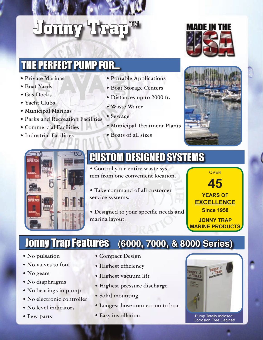# **Jonny Trap**™

#### THE PERFECT PUMP FOR...

- **Private Marinas**
- **Boat Yards**
- **Gas Docks**
- **Yacht Clubs**
- **Municipal Marinas**
- **Parks and Recreation Facilities**
- **Commercial Facilities**
- **Industrial Facilities**
- **Portable Applications**
- **Boat Storage Centers**
- **Distances up to 2000 ft.**
- **Waste Water**
- **Sewage**
- **Municipal Treatment Plants**
- **Boats of all sizes**







#### CUSTOM DESIGNED SYSTEMS

- **Control your entire waste system from one convenient location.**
- **Take command of all customer service systems.**
- Designed to your specific needs and **marina layout.**



#### Jonny Trap Features **(6000, 7000, & 8000 Series)**

- **No pulsation**
- **No valves to foul**
- **No gears**
- **No diaphragms**
- **No bearings in pump**
- **No electronic controller**
- **No level indicators**
- **Few parts**
- **Compact Design**
- Highest efficiency
- **Highest vacuum lift**
- **Highest pressure discharge**
- **Solid mounting**
- **Longest hose connection to boat**
- **Easy installation**



Pump Totally Inclosed! Corrosion Free Cabinet!